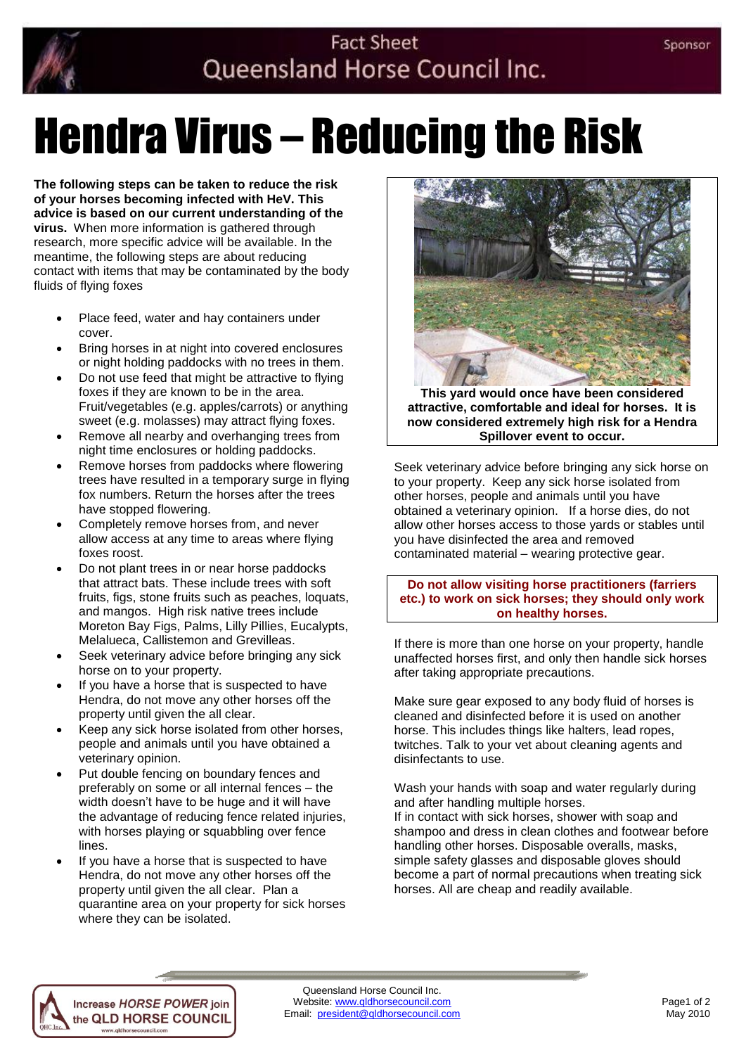

## **Fact Sheet** Queensland Horse Council Inc.

# Hendra Virus – Reducing the Risk

**The following steps can be taken to reduce the risk of your horses becoming infected with HeV. This advice is based on our current understanding of the virus.** When more information is gathered through research, more specific advice will be available. In the meantime, the following steps are about reducing contact with items that may be contaminated by the body fluids of flying foxes

- Place feed, water and hay containers under cover.
- Bring horses in at night into covered enclosures or night holding paddocks with no trees in them.
- Do not use feed that might be attractive to flying foxes if they are known to be in the area. Fruit/vegetables (e.g. apples/carrots) or anything sweet (e.g. molasses) may attract flying foxes.
- Remove all nearby and overhanging trees from night time enclosures or holding paddocks.
- Remove horses from paddocks where flowering trees have resulted in a temporary surge in flying fox numbers. Return the horses after the trees have stopped flowering.
- Completely remove horses from, and never allow access at any time to areas where flying foxes roost.
- Do not plant trees in or near horse paddocks that attract bats. These include trees with soft fruits, figs, stone fruits such as peaches, loquats, and mangos. High risk native trees include Moreton Bay Figs, Palms, Lilly Pillies, Eucalypts, Melalueca, Callistemon and Grevilleas.
- Seek veterinary advice before bringing any sick horse on to your property.
- If you have a horse that is suspected to have Hendra, do not move any other horses off the property until given the all clear.
- Keep any sick horse isolated from other horses, people and animals until you have obtained a veterinary opinion.
- Put double fencing on boundary fences and preferably on some or all internal fences – the width doesn't have to be huge and it will have the advantage of reducing fence related injuries, with horses playing or squabbling over fence lines.
- If you have a horse that is suspected to have Hendra, do not move any other horses off the property until given the all clear. Plan a quarantine area on your property for sick horses where they can be isolated.



**This yard would once have been considered attractive, comfortable and ideal for horses. It is now considered extremely high risk for a Hendra Spillover event to occur.**

Seek veterinary advice before bringing any sick horse on to your property. Keep any sick horse isolated from other horses, people and animals until you have obtained a veterinary opinion. If a horse dies, do not allow other horses access to those yards or stables until you have disinfected the area and removed contaminated material – wearing protective gear.

**Do not allow visiting horse practitioners (farriers etc.) to work on sick horses; they should only work on healthy horses.**

If there is more than one horse on your property, handle unaffected horses first, and only then handle sick horses after taking appropriate precautions.

Make sure gear exposed to any body fluid of horses is cleaned and disinfected before it is used on another horse. This includes things like halters, lead ropes, twitches. Talk to your vet about cleaning agents and disinfectants to use.

Wash your hands with soap and water regularly during and after handling multiple horses.

If in contact with sick horses, shower with soap and shampoo and dress in clean clothes and footwear before handling other horses. Disposable overalls, masks, simple safety glasses and disposable gloves should become a part of normal precautions when treating sick horses. All are cheap and readily available.



w.gldhorsecouncil.com